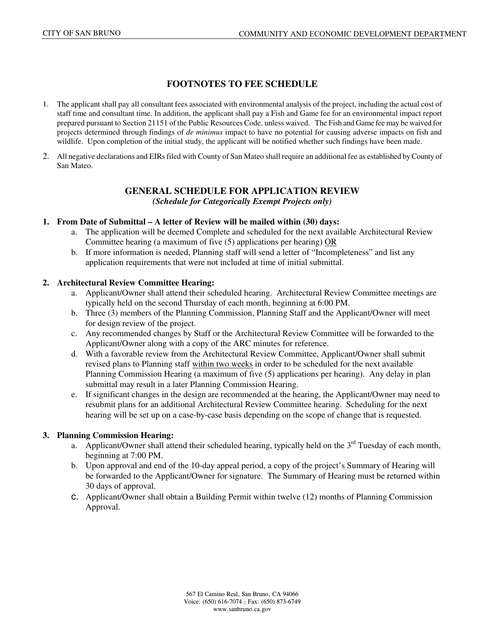#### **FOOTNOTES TO FEE SCHEDULE**

- 1. The applicant shall pay all consultant fees associated with environmental analysis of the project, including the actual cost of staff time and consultant time. In addition, the applicant shall pay a Fish and Game fee for an environmental impact report prepared pursuant to Section 21151 of the Public Resources Code, unless waived. The Fish and Game fee may be waived for projects determined through findings of *de minimus* impact to have no potential for causing adverse impacts on fish and wildlife. Upon completion of the initial study, the applicant will be notified whether such findings have been made.
- 2. All negative declarations and EIRs filed with County of San Mateo shall require an additional fee as established by County of San Mateo.

#### **GENERAL SCHEDULE FOR APPLICATION REVIEW**  *(Schedule for Categorically Exempt Projects only)*

#### **1. From Date of Submittal – A letter of Review will be mailed within (30) days:**

- a. The application will be deemed Complete and scheduled for the next available Architectural Review Committee hearing (a maximum of five (5) applications per hearing) OR
- b. If more information is needed, Planning staff will send a letter of "Incompleteness" and list any application requirements that were not included at time of initial submittal.

#### **2. Architectural Review Committee Hearing:**

- a. Applicant/Owner shall attend their scheduled hearing. Architectural Review Committee meetings are typically held on the second Thursday of each month, beginning at 6:00 PM.
- b. Three (3) members of the Planning Commission, Planning Staff and the Applicant/Owner will meet for design review of the project.
- c. Any recommended changes by Staff or the Architectural Review Committee will be forwarded to the Applicant/Owner along with a copy of the ARC minutes for reference.
- d. With a favorable review from the Architectural Review Committee, Applicant/Owner shall submit revised plans to Planning staff within two weeks in order to be scheduled for the next available Planning Commission Hearing (a maximum of five (5) applications per hearing). Any delay in plan submittal may result in a later Planning Commission Hearing.
- e. If significant changes in the design are recommended at the hearing, the Applicant/Owner may need to resubmit plans for an additional Architectural Review Committee hearing. Scheduling for the next hearing will be set up on a case-by-case basis depending on the scope of change that is requested.

#### **3. Planning Commission Hearing:**

- a. Applicant/Owner shall attend their scheduled hearing, typically held on the  $3<sup>rd</sup>$  Tuesday of each month, beginning at 7:00 PM.
- b. Upon approval and end of the 10-day appeal period, a copy of the project's Summary of Hearing will be forwarded to the Applicant/Owner for signature. The Summary of Hearing must be returned within 30 days of approval.
- c. Applicant/Owner shall obtain a Building Permit within twelve (12) months of Planning Commission Approval.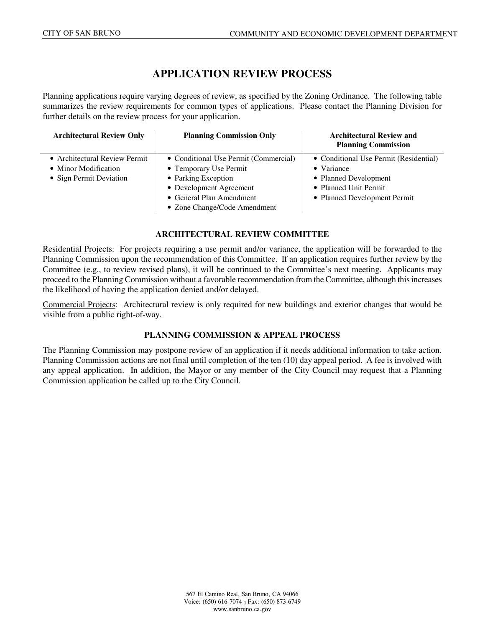# **APPLICATION REVIEW PROCESS**

Planning applications require varying degrees of review, as specified by the Zoning Ordinance. The following table summarizes the review requirements for common types of applications. Please contact the Planning Division for further details on the review process for your application.

| <b>Architectural Review Only</b> | <b>Planning Commission Only</b>       | <b>Architectural Review and</b><br><b>Planning Commission</b> |
|----------------------------------|---------------------------------------|---------------------------------------------------------------|
| • Architectural Review Permit    | • Conditional Use Permit (Commercial) | • Conditional Use Permit (Residential)                        |
| • Minor Modification             | • Temporary Use Permit                | • Variance                                                    |
| • Sign Permit Deviation          | • Parking Exception                   | • Planned Development                                         |
|                                  | • Development Agreement               | • Planned Unit Permit                                         |
|                                  | • General Plan Amendment              | • Planned Development Permit                                  |
|                                  | • Zone Change/Code Amendment          |                                                               |

#### **ARCHITECTURAL REVIEW COMMITTEE**

Residential Projects: For projects requiring a use permit and/or variance, the application will be forwarded to the Planning Commission upon the recommendation of this Committee. If an application requires further review by the Committee (e.g., to review revised plans), it will be continued to the Committee's next meeting. Applicants may proceed to the Planning Commission without a favorable recommendation from the Committee, although this increases the likelihood of having the application denied and/or delayed.

Commercial Projects: Architectural review is only required for new buildings and exterior changes that would be visible from a public right-of-way.

#### **PLANNING COMMISSION & APPEAL PROCESS**

The Planning Commission may postpone review of an application if it needs additional information to take action. Planning Commission actions are not final until completion of the ten (10) day appeal period. A fee is involved with any appeal application. In addition, the Mayor or any member of the City Council may request that a Planning Commission application be called up to the City Council.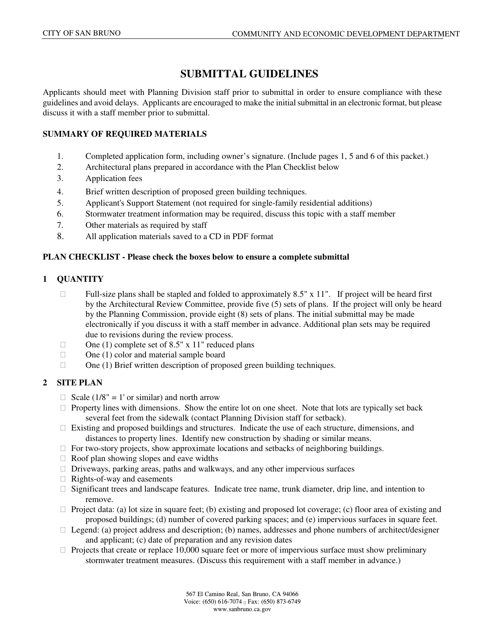# **SUBMITTAL GUIDELINES**

Applicants should meet with Planning Division staff prior to submittal in order to ensure compliance with these guidelines and avoid delays. Applicants are encouraged to make the initial submittal in an electronic format, but please discuss it with a staff member prior to submittal.

#### **SUMMARY OF REQUIRED MATERIALS**

- 1. Completed application form, including owner's signature. (Include pages 1, 5 and 6 of this packet.)
- 2. Architectural plans prepared in accordance with the Plan Checklist below
- 3. Application fees
- 4. Brief written description of proposed green building techniques.
- 5. Applicant's Support Statement (not required for single-family residential additions)
- 6. Stormwater treatment information may be required, discuss this topic with a staff member
- 7. Other materials as required by staff
- 8. All application materials saved to a CD in PDF format

### **PLAN CHECKLIST - Please check the boxes below to ensure a complete submittal**

### **1 QUANTITY**

- $\Box$  Full-size plans shall be stapled and folded to approximately 8.5" x 11". If project will be heard first by the Architectural Review Committee, provide five (5) sets of plans. If the project will only be heard by the Planning Commission, provide eight (8) sets of plans. The initial submittal may be made electronically if you discuss it with a staff member in advance. Additional plan sets may be required due to revisions during the review process.
- $\Box$  One (1) complete set of 8.5" x 11" reduced plans
- $\Box$  One (1) color and material sample board
- □ One (1) Brief written description of proposed green building techniques.

### **2 SITE PLAN**

- $\Box$  Scale (1/8" = 1' or similar) and north arrow
- $\Box$  Property lines with dimensions. Show the entire lot on one sheet. Note that lots are typically set back several feet from the sidewalk (contact Planning Division staff for setback).
- $\Box$  Existing and proposed buildings and structures. Indicate the use of each structure, dimensions, and distances to property lines. Identify new construction by shading or similar means.
- $\Box$  For two-story projects, show approximate locations and setbacks of neighboring buildings.
- $\Box$  Roof plan showing slopes and eave widths
- $\Box$  Driveways, parking areas, paths and walkways, and any other impervious surfaces
- $\Box$  Rights-of-way and easements
- $\Box$  Significant trees and landscape features. Indicate tree name, trunk diameter, drip line, and intention to remove.
- $\Box$  Project data: (a) lot size in square feet; (b) existing and proposed lot coverage; (c) floor area of existing and proposed buildings; (d) number of covered parking spaces; and (e) impervious surfaces in square feet.
- $\Box$  Legend: (a) project address and description; (b) names, addresses and phone numbers of architect/designer and applicant; (c) date of preparation and any revision dates
- $\Box$  Projects that create or replace 10,000 square feet or more of impervious surface must show preliminary stormwater treatment measures. (Discuss this requirement with a staff member in advance.)